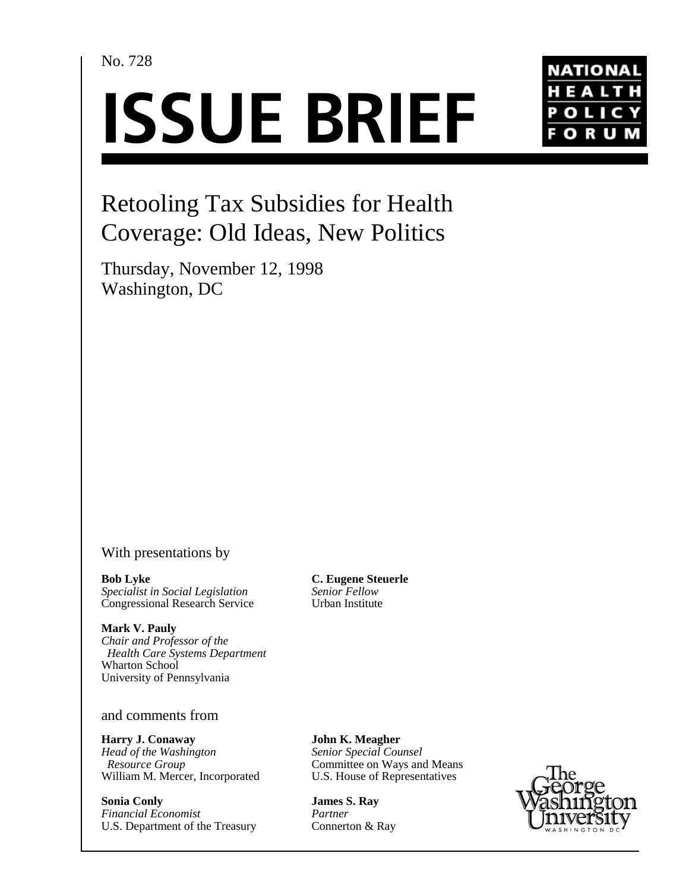## No. 728

# **ISSUE BRIEF**



# Retooling Tax Subsidies for Health Coverage: Old Ideas, New Politics

Thursday, November 12, 1998 Washington, DC

## With presentations by

**Bob Lyke** *Specialist in Social Legislation* Congressional Research Service

**Mark V. Pauly** *Chair and Professor of the Health Care Systems Department* Wharton School University of Pennsylvania

### and comments from

**Harry J. Conaway** *Head of the Washington Resource Group* William M. Mercer, Incorporated

**Sonia Conly** *Financial Economist* U.S. Department of the Treasury **C. Eugene Steuerle** *Senior Fellow* Urban Institute

**John K. Meagher** *Senior Special Counsel* Committee on Ways and Means U.S. House of Representatives

**James S. Ray** *Partner* Connerton & Ray

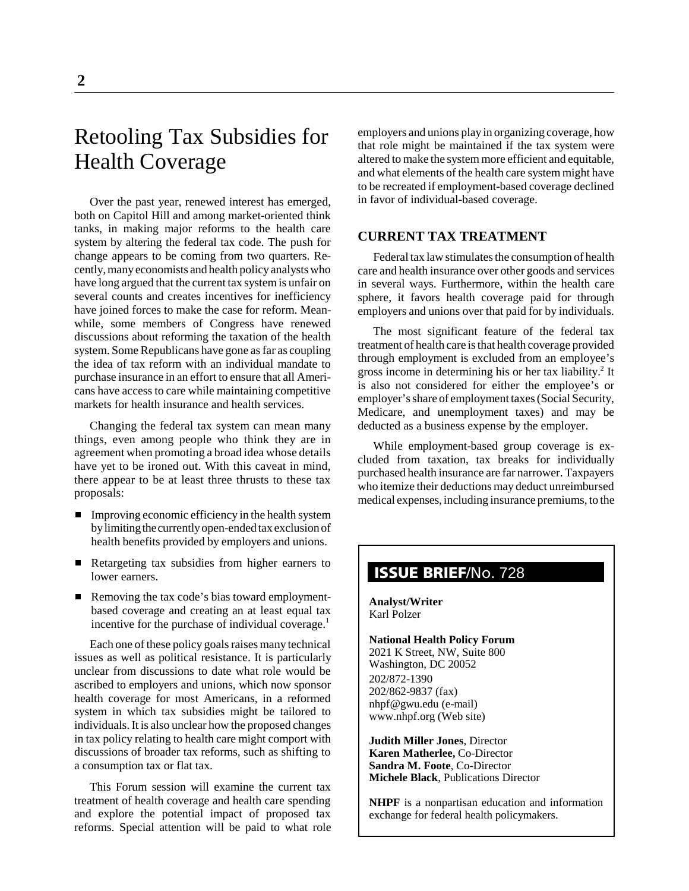# Retooling Tax Subsidies for Health Coverage

Over the past year, renewed interest has emerged, both on Capitol Hill and among market-oriented think tanks, in making major reforms to the health care system by altering the federal tax code. The push for change appears to be coming from two quarters. Recently, many economists and health policy analysts who have long argued that the current tax system is unfair on several counts and creates incentives for inefficiency have joined forces to make the case for reform. Meanwhile, some members of Congress have renewed discussions about reforming the taxation of the health system. Some Republicans have gone as far as coupling the idea of tax reform with an individual mandate to purchase insurance in an effort to ensure that all Americans have access to care while maintaining competitive markets for health insurance and health services.

Changing the federal tax system can mean many things, even among people who think they are in agreement when promoting a broad idea whose details have yet to be ironed out. With this caveat in mind, there appear to be at least three thrusts to these tax proposals:

- **IMPROVING EXCOMPT** Improving economic efficiency in the health system by limiting the currently open-ended tax exclusion of health benefits provided by employers and unions.
- Retargeting tax subsidies from higher earners to lower earners.
- Removing the tax code's bias toward employmentbased coverage and creating an at least equal tax incentive for the purchase of individual coverage.<sup>1</sup>

Each one of these policy goals raises many technical issues as well as political resistance. It is particularly unclear from discussions to date what role would be ascribed to employers and unions, which now sponsor health coverage for most Americans, in a reformed system in which tax subsidies might be tailored to individuals. It is also unclear how the proposed changes in tax policy relating to health care might comport with discussions of broader tax reforms, such as shifting to a consumption tax or flat tax.

This Forum session will examine the current tax treatment of health coverage and health care spending and explore the potential impact of proposed tax reforms. Special attention will be paid to what role

employers and unions play in organizing coverage, how that role might be maintained if the tax system were altered to make the system more efficient and equitable, and what elements of the health care system might have to be recreated if employment-based coverage declined in favor of individual-based coverage.

#### **CURRENT TAX TREATMENT**

Federal tax law stimulates the consumption of health care and health insurance over other goods and services in several ways. Furthermore, within the health care sphere, it favors health coverage paid for through employers and unions over that paid for by individuals.

The most significant feature of the federal tax treatment of health care is that health coverage provided through employment is excluded from an employee's gross income in determining his or her tax liability.<sup>2</sup> It is also not considered for either the employee's or employer's share of employment taxes (Social Security, Medicare, and unemployment taxes) and may be deducted as a business expense by the employer.

While employment-based group coverage is excluded from taxation, tax breaks for individually purchased health insurance are far narrower. Taxpayers who itemize their deductions may deduct unreimbursed medical expenses, including insurance premiums, to the

# **ISSUE BRIEF**/No. 728

**Analyst/Writer** Karl Polzer

#### **National Health Policy Forum** 2021 K Street, NW, Suite 800

Washington, DC 20052 202/872-1390 202/862-9837 (fax) nhpf@gwu.edu (e-mail) www.nhpf.org (Web site)

**Judith Miller Jones**, Director **Karen Matherlee,** Co-Director **Sandra M. Foote**, Co-Director **Michele Black**, Publications Director

**NHPF** is a nonpartisan education and information exchange for federal health policymakers.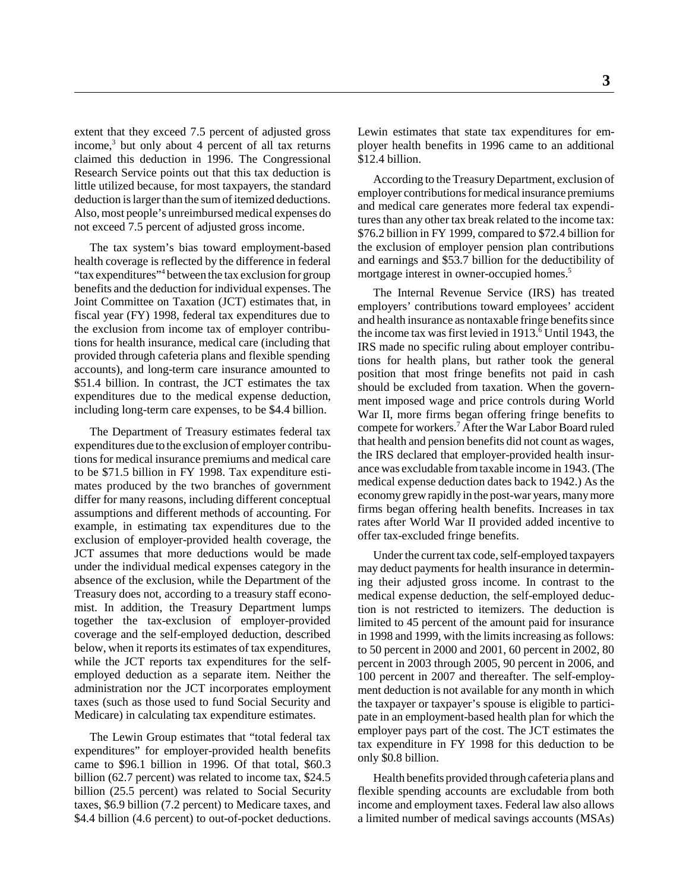extent that they exceed 7.5 percent of adjusted gross income,<sup>3</sup> but only about 4 percent of all tax returns claimed this deduction in 1996. The Congressional Research Service points out that this tax deduction is little utilized because, for most taxpayers, the standard deduction is larger than the sum of itemized deductions. Also, most people's unreimbursed medical expenses do not exceed 7.5 percent of adjusted gross income.

The tax system's bias toward employment-based health coverage is reflected by the difference in federal "tax expenditures"<sup>4</sup> between the tax exclusion for group benefits and the deduction for individual expenses. The Joint Committee on Taxation (JCT) estimates that, in fiscal year (FY) 1998, federal tax expenditures due to the exclusion from income tax of employer contributions for health insurance, medical care (including that provided through cafeteria plans and flexible spending accounts), and long-term care insurance amounted to \$51.4 billion. In contrast, the JCT estimates the tax expenditures due to the medical expense deduction, including long-term care expenses, to be \$4.4 billion.

The Department of Treasury estimates federal tax expenditures due to the exclusion of employer contributions for medical insurance premiums and medical care to be \$71.5 billion in FY 1998. Tax expenditure estimates produced by the two branches of government differ for many reasons, including different conceptual assumptions and different methods of accounting. For example, in estimating tax expenditures due to the exclusion of employer-provided health coverage, the JCT assumes that more deductions would be made under the individual medical expenses category in the absence of the exclusion, while the Department of the Treasury does not, according to a treasury staff economist. In addition, the Treasury Department lumps together the tax-exclusion of employer-provided coverage and the self-employed deduction, described below, when it reports its estimates of tax expenditures, while the JCT reports tax expenditures for the selfemployed deduction as a separate item. Neither the administration nor the JCT incorporates employment taxes (such as those used to fund Social Security and Medicare) in calculating tax expenditure estimates.

The Lewin Group estimates that "total federal tax expenditures" for employer-provided health benefits came to \$96.1 billion in 1996. Of that total, \$60.3 billion (62.7 percent) was related to income tax, \$24.5 billion (25.5 percent) was related to Social Security taxes, \$6.9 billion (7.2 percent) to Medicare taxes, and \$4.4 billion (4.6 percent) to out-of-pocket deductions. Lewin estimates that state tax expenditures for employer health benefits in 1996 came to an additional \$12.4 billion.

According to the Treasury Department, exclusion of employer contributions for medical insurance premiums and medical care generates more federal tax expenditures than any other tax break related to the income tax: \$76.2 billion in FY 1999, compared to \$72.4 billion for the exclusion of employer pension plan contributions and earnings and \$53.7 billion for the deductibility of mortgage interest in owner-occupied homes.<sup>5</sup>

The Internal Revenue Service (IRS) has treated employers' contributions toward employees' accident and health insurance as nontaxable fringe benefits since the income tax was first levied in 1913.<sup>6</sup> Until 1943, the IRS made no specific ruling about employer contributions for health plans, but rather took the general position that most fringe benefits not paid in cash should be excluded from taxation. When the government imposed wage and price controls during World War II, more firms began offering fringe benefits to compete for workers.7 After the War Labor Board ruled that health and pension benefits did not count as wages, the IRS declared that employer-provided health insurance was excludable from taxable income in 1943. (The medical expense deduction dates back to 1942.) As the economy grew rapidly in the post-war years, many more firms began offering health benefits. Increases in tax rates after World War II provided added incentive to offer tax-excluded fringe benefits.

Under the current tax code, self-employed taxpayers may deduct payments for health insurance in determining their adjusted gross income. In contrast to the medical expense deduction, the self-employed deduction is not restricted to itemizers. The deduction is limited to 45 percent of the amount paid for insurance in 1998 and 1999, with the limits increasing as follows: to 50 percent in 2000 and 2001, 60 percent in 2002, 80 percent in 2003 through 2005, 90 percent in 2006, and 100 percent in 2007 and thereafter. The self-employment deduction is not available for any month in which the taxpayer or taxpayer's spouse is eligible to participate in an employment-based health plan for which the employer pays part of the cost. The JCT estimates the tax expenditure in FY 1998 for this deduction to be only \$0.8 billion.

Health benefits provided through cafeteria plans and flexible spending accounts are excludable from both income and employment taxes. Federal law also allows a limited number of medical savings accounts (MSAs)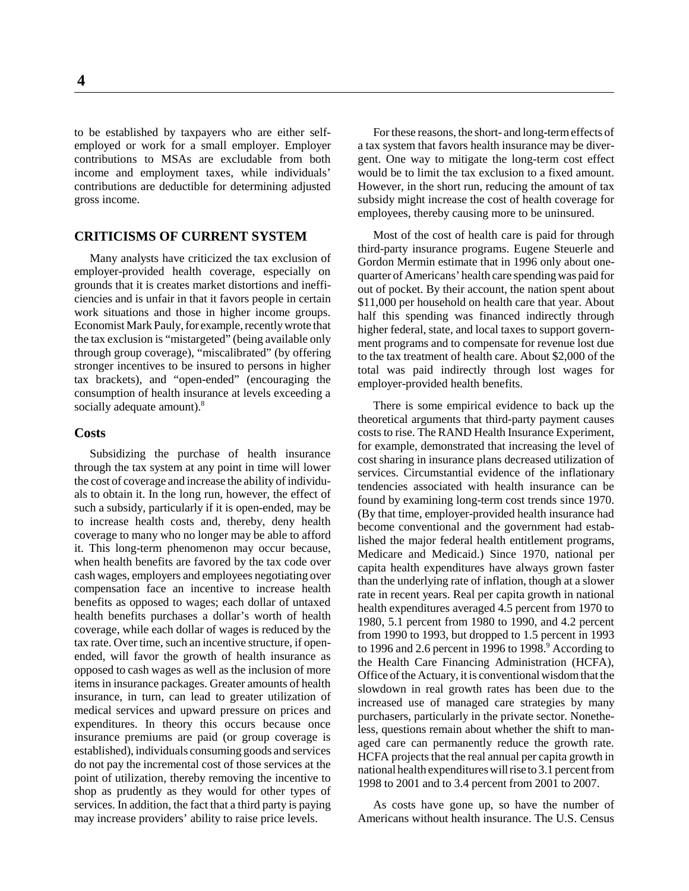to be established by taxpayers who are either selfemployed or work for a small employer. Employer contributions to MSAs are excludable from both income and employment taxes, while individuals' contributions are deductible for determining adjusted gross income.

#### **CRITICISMS OF CURRENT SYSTEM**

Many analysts have criticized the tax exclusion of employer-provided health coverage, especially on grounds that it is creates market distortions and inefficiencies and is unfair in that it favors people in certain work situations and those in higher income groups. Economist Mark Pauly, for example, recently wrote that the tax exclusion is "mistargeted" (being available only through group coverage), "miscalibrated" (by offering stronger incentives to be insured to persons in higher tax brackets), and "open-ended" (encouraging the consumption of health insurance at levels exceeding a socially adequate amount).<sup>8</sup>

#### **Costs**

Subsidizing the purchase of health insurance through the tax system at any point in time will lower the cost of coverage and increase the ability of individuals to obtain it. In the long run, however, the effect of such a subsidy, particularly if it is open-ended, may be to increase health costs and, thereby, deny health coverage to many who no longer may be able to afford it. This long-term phenomenon may occur because, when health benefits are favored by the tax code over cash wages, employers and employees negotiating over compensation face an incentive to increase health benefits as opposed to wages; each dollar of untaxed health benefits purchases a dollar's worth of health coverage, while each dollar of wages is reduced by the tax rate. Over time, such an incentive structure, if openended, will favor the growth of health insurance as opposed to cash wages as well as the inclusion of more items in insurance packages. Greater amounts of health insurance, in turn, can lead to greater utilization of medical services and upward pressure on prices and expenditures. In theory this occurs because once insurance premiums are paid (or group coverage is established), individuals consuming goods and services do not pay the incremental cost of those services at the point of utilization, thereby removing the incentive to shop as prudently as they would for other types of services. In addition, the fact that a third party is paying may increase providers' ability to raise price levels.

For these reasons, the short- and long-term effects of a tax system that favors health insurance may be divergent. One way to mitigate the long-term cost effect would be to limit the tax exclusion to a fixed amount. However, in the short run, reducing the amount of tax subsidy might increase the cost of health coverage for employees, thereby causing more to be uninsured.

Most of the cost of health care is paid for through third-party insurance programs. Eugene Steuerle and Gordon Mermin estimate that in 1996 only about onequarter of Americans' health care spending was paid for out of pocket. By their account, the nation spent about \$11,000 per household on health care that year. About half this spending was financed indirectly through higher federal, state, and local taxes to support government programs and to compensate for revenue lost due to the tax treatment of health care. About \$2,000 of the total was paid indirectly through lost wages for employer-provided health benefits.

There is some empirical evidence to back up the theoretical arguments that third-party payment causes costs to rise. The RAND Health Insurance Experiment, for example, demonstrated that increasing the level of cost sharing in insurance plans decreased utilization of services. Circumstantial evidence of the inflationary tendencies associated with health insurance can be found by examining long-term cost trends since 1970. (By that time, employer-provided health insurance had become conventional and the government had established the major federal health entitlement programs, Medicare and Medicaid.) Since 1970, national per capita health expenditures have always grown faster than the underlying rate of inflation, though at a slower rate in recent years. Real per capita growth in national health expenditures averaged 4.5 percent from 1970 to 1980, 5.1 percent from 1980 to 1990, and 4.2 percent from 1990 to 1993, but dropped to 1.5 percent in 1993 to 1996 and 2.6 percent in 1996 to 1998. $^9$  According to the Health Care Financing Administration (HCFA), Office of the Actuary, it is conventional wisdom that the slowdown in real growth rates has been due to the increased use of managed care strategies by many purchasers, particularly in the private sector. Nonetheless, questions remain about whether the shift to managed care can permanently reduce the growth rate. HCFA projects that the real annual per capita growth in national health expenditures will rise to 3.1 percent from 1998 to 2001 and to 3.4 percent from 2001 to 2007.

As costs have gone up, so have the number of Americans without health insurance. The U.S. Census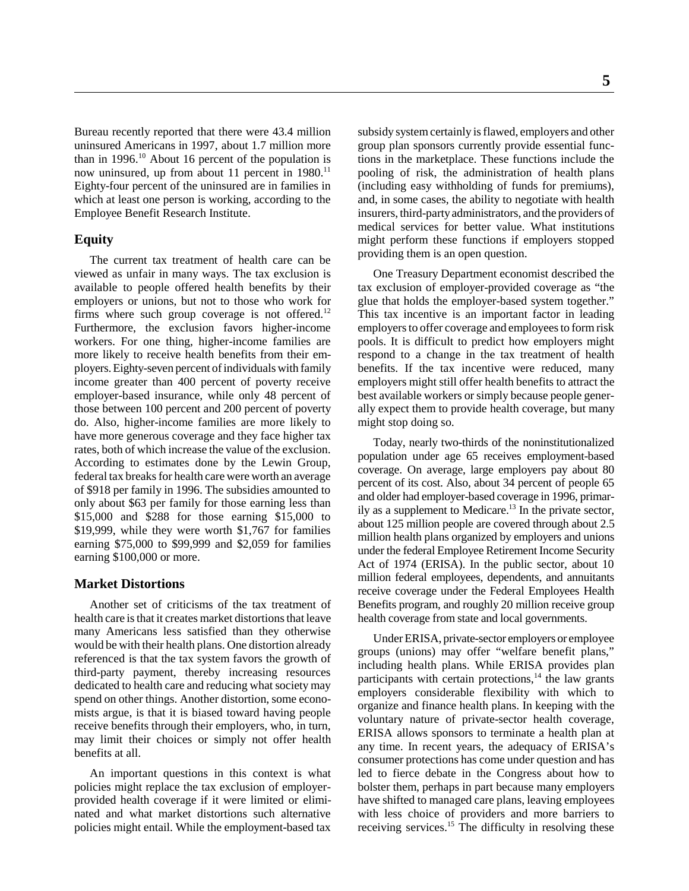Bureau recently reported that there were 43.4 million uninsured Americans in 1997, about 1.7 million more than in  $1996<sup>10</sup>$  About 16 percent of the population is now uninsured, up from about 11 percent in  $1980$ .<sup>11</sup> Eighty-four percent of the uninsured are in families in which at least one person is working, according to the Employee Benefit Research Institute.

#### **Equity**

The current tax treatment of health care can be viewed as unfair in many ways. The tax exclusion is available to people offered health benefits by their employers or unions, but not to those who work for firms where such group coverage is not offered.<sup>12</sup> Furthermore, the exclusion favors higher-income workers. For one thing, higher-income families are more likely to receive health benefits from their employers. Eighty-seven percent of individuals with family income greater than 400 percent of poverty receive employer-based insurance, while only 48 percent of those between 100 percent and 200 percent of poverty do. Also, higher-income families are more likely to have more generous coverage and they face higher tax rates, both of which increase the value of the exclusion. According to estimates done by the Lewin Group, federal tax breaks for health care were worth an average of \$918 per family in 1996. The subsidies amounted to only about \$63 per family for those earning less than \$15,000 and \$288 for those earning \$15,000 to \$19,999, while they were worth \$1,767 for families earning \$75,000 to \$99,999 and \$2,059 for families earning \$100,000 or more.

#### **Market Distortions**

Another set of criticisms of the tax treatment of health care is that it creates market distortions that leave many Americans less satisfied than they otherwise would be with their health plans. One distortion already referenced is that the tax system favors the growth of third-party payment, thereby increasing resources dedicated to health care and reducing what society may spend on other things. Another distortion, some economists argue, is that it is biased toward having people receive benefits through their employers, who, in turn, may limit their choices or simply not offer health benefits at all.

An important questions in this context is what policies might replace the tax exclusion of employerprovided health coverage if it were limited or eliminated and what market distortions such alternative policies might entail. While the employment-based tax subsidy system certainly is flawed, employers and other group plan sponsors currently provide essential functions in the marketplace. These functions include the pooling of risk, the administration of health plans (including easy withholding of funds for premiums), and, in some cases, the ability to negotiate with health insurers, third-party administrators, and the providers of medical services for better value. What institutions might perform these functions if employers stopped providing them is an open question.

One Treasury Department economist described the tax exclusion of employer-provided coverage as "the glue that holds the employer-based system together." This tax incentive is an important factor in leading employers to offer coverage and employees to form risk pools. It is difficult to predict how employers might respond to a change in the tax treatment of health benefits. If the tax incentive were reduced, many employers might still offer health benefits to attract the best available workers or simply because people generally expect them to provide health coverage, but many might stop doing so.

Today, nearly two-thirds of the noninstitutionalized population under age 65 receives employment-based coverage. On average, large employers pay about 80 percent of its cost. Also, about 34 percent of people 65 and older had employer-based coverage in 1996, primarily as a supplement to Medicare.<sup>13</sup> In the private sector, about 125 million people are covered through about 2.5 million health plans organized by employers and unions under the federal Employee Retirement Income Security Act of 1974 (ERISA). In the public sector, about 10 million federal employees, dependents, and annuitants receive coverage under the Federal Employees Health Benefits program, and roughly 20 million receive group health coverage from state and local governments.

Under ERISA, private-sector employers or employee groups (unions) may offer "welfare benefit plans," including health plans. While ERISA provides plan participants with certain protections, $14$  the law grants employers considerable flexibility with which to organize and finance health plans. In keeping with the voluntary nature of private-sector health coverage, ERISA allows sponsors to terminate a health plan at any time. In recent years, the adequacy of ERISA's consumer protections has come under question and has led to fierce debate in the Congress about how to bolster them, perhaps in part because many employers have shifted to managed care plans, leaving employees with less choice of providers and more barriers to receiving services.<sup>15</sup> The difficulty in resolving these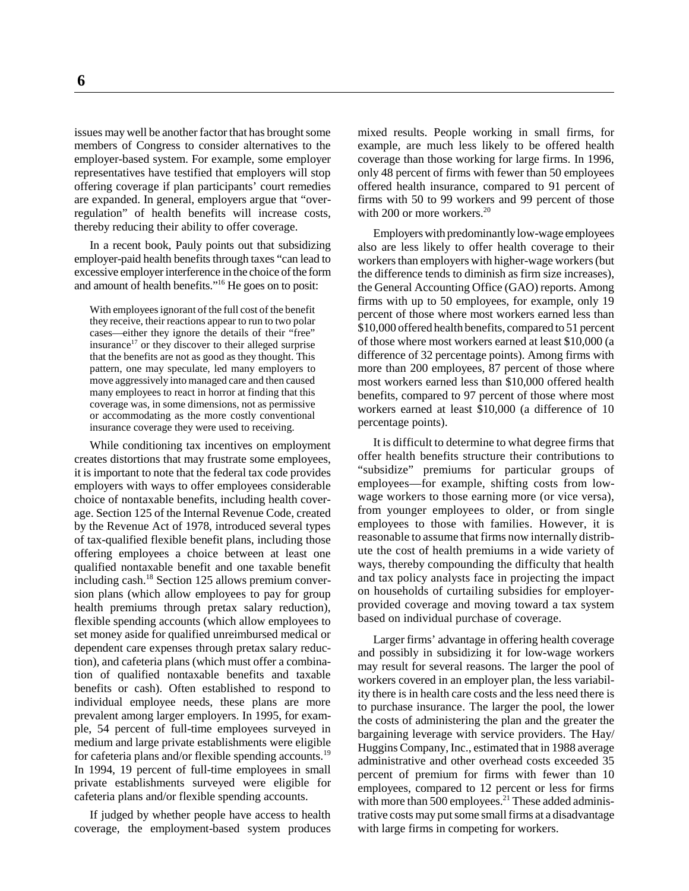issues may well be another factor that has brought some members of Congress to consider alternatives to the employer-based system. For example, some employer representatives have testified that employers will stop offering coverage if plan participants' court remedies are expanded. In general, employers argue that "overregulation" of health benefits will increase costs, thereby reducing their ability to offer coverage.

In a recent book, Pauly points out that subsidizing employer-paid health benefits through taxes "can lead to excessive employer interference in the choice of the form and amount of health benefits."16 He goes on to posit:

With employees ignorant of the full cost of the benefit they receive, their reactions appear to run to two polar cases—either they ignore the details of their "free" insurance<sup>17</sup> or they discover to their alleged surprise that the benefits are not as good as they thought. This pattern, one may speculate, led many employers to move aggressively into managed care and then caused many employees to react in horror at finding that this coverage was, in some dimensions, not as permissive or accommodating as the more costly conventional insurance coverage they were used to receiving.

While conditioning tax incentives on employment creates distortions that may frustrate some employees, it is important to note that the federal tax code provides employers with ways to offer employees considerable choice of nontaxable benefits, including health coverage. Section 125 of the Internal Revenue Code, created by the Revenue Act of 1978, introduced several types of tax-qualified flexible benefit plans, including those offering employees a choice between at least one qualified nontaxable benefit and one taxable benefit including cash.<sup>18</sup> Section 125 allows premium conversion plans (which allow employees to pay for group health premiums through pretax salary reduction), flexible spending accounts (which allow employees to set money aside for qualified unreimbursed medical or dependent care expenses through pretax salary reduction), and cafeteria plans (which must offer a combination of qualified nontaxable benefits and taxable benefits or cash). Often established to respond to individual employee needs, these plans are more prevalent among larger employers. In 1995, for example, 54 percent of full-time employees surveyed in medium and large private establishments were eligible for cafeteria plans and/or flexible spending accounts.<sup>19</sup> In 1994, 19 percent of full-time employees in small private establishments surveyed were eligible for cafeteria plans and/or flexible spending accounts.

If judged by whether people have access to health coverage, the employment-based system produces

mixed results. People working in small firms, for example, are much less likely to be offered health coverage than those working for large firms. In 1996, only 48 percent of firms with fewer than 50 employees offered health insurance, compared to 91 percent of firms with 50 to 99 workers and 99 percent of those with 200 or more workers.<sup>20</sup>

Employers with predominantly low-wage employees also are less likely to offer health coverage to their workers than employers with higher-wage workers (but the difference tends to diminish as firm size increases), the General Accounting Office (GAO) reports. Among firms with up to 50 employees, for example, only 19 percent of those where most workers earned less than \$10,000 offered health benefits, compared to 51 percent of those where most workers earned at least \$10,000 (a difference of 32 percentage points). Among firms with more than 200 employees, 87 percent of those where most workers earned less than \$10,000 offered health benefits, compared to 97 percent of those where most workers earned at least \$10,000 (a difference of 10 percentage points).

It is difficult to determine to what degree firms that offer health benefits structure their contributions to "subsidize" premiums for particular groups of employees—for example, shifting costs from lowwage workers to those earning more (or vice versa), from younger employees to older, or from single employees to those with families. However, it is reasonable to assume that firms now internally distribute the cost of health premiums in a wide variety of ways, thereby compounding the difficulty that health and tax policy analysts face in projecting the impact on households of curtailing subsidies for employerprovided coverage and moving toward a tax system based on individual purchase of coverage.

Larger firms' advantage in offering health coverage and possibly in subsidizing it for low-wage workers may result for several reasons. The larger the pool of workers covered in an employer plan, the less variability there is in health care costs and the less need there is to purchase insurance. The larger the pool, the lower the costs of administering the plan and the greater the bargaining leverage with service providers. The Hay/ Huggins Company, Inc., estimated that in 1988 average administrative and other overhead costs exceeded 35 percent of premium for firms with fewer than 10 employees, compared to 12 percent or less for firms with more than 500 employees.<sup>21</sup> These added administrative costs may put some small firms at a disadvantage with large firms in competing for workers.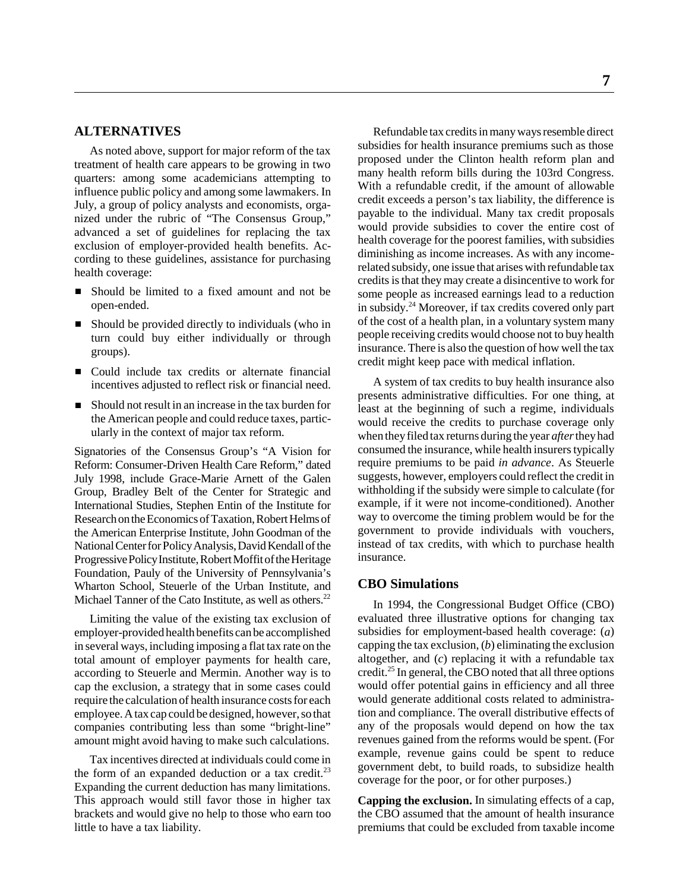#### **ALTERNATIVES**

As noted above, support for major reform of the tax treatment of health care appears to be growing in two quarters: among some academicians attempting to influence public policy and among some lawmakers. In July, a group of policy analysts and economists, organized under the rubric of "The Consensus Group," advanced a set of guidelines for replacing the tax exclusion of employer-provided health benefits. According to these guidelines, assistance for purchasing health coverage:

- Should be limited to a fixed amount and not be open-ended.
- Should be provided directly to individuals (who in turn could buy either individually or through groups).
- Could include tax credits or alternate financial incentives adjusted to reflect risk or financial need.
- Should not result in an increase in the tax burden for the American people and could reduce taxes, particularly in the context of major tax reform.

Signatories of the Consensus Group's "A Vision for Reform: Consumer-Driven Health Care Reform," dated July 1998, include Grace-Marie Arnett of the Galen Group, Bradley Belt of the Center for Strategic and International Studies, Stephen Entin of the Institute for Research on the Economics of Taxation, Robert Helms of the American Enterprise Institute, John Goodman of the National Center for Policy Analysis, David Kendall of the Progressive Policy Institute, Robert Moffit of the Heritage Foundation, Pauly of the University of Pennsylvania's Wharton School, Steuerle of the Urban Institute, and Michael Tanner of the Cato Institute, as well as others.<sup>22</sup>

Limiting the value of the existing tax exclusion of employer-provided health benefits can be accomplished in several ways, including imposing a flat tax rate on the total amount of employer payments for health care, according to Steuerle and Mermin. Another way is to cap the exclusion, a strategy that in some cases could require the calculation of health insurance costs for each employee. A tax cap could be designed, however, so that companies contributing less than some "bright-line" amount might avoid having to make such calculations.

Tax incentives directed at individuals could come in the form of an expanded deduction or a tax credit. $2<sup>3</sup>$ Expanding the current deduction has many limitations. This approach would still favor those in higher tax brackets and would give no help to those who earn too little to have a tax liability.

Refundable tax credits in many ways resemble direct subsidies for health insurance premiums such as those proposed under the Clinton health reform plan and many health reform bills during the 103rd Congress. With a refundable credit, if the amount of allowable credit exceeds a person's tax liability, the difference is payable to the individual. Many tax credit proposals would provide subsidies to cover the entire cost of health coverage for the poorest families, with subsidies diminishing as income increases. As with any incomerelated subsidy, one issue that arises with refundable tax credits is that they may create a disincentive to work for some people as increased earnings lead to a reduction in subsidy.24 Moreover, if tax credits covered only part of the cost of a health plan, in a voluntary system many people receiving credits would choose not to buy health insurance. There is also the question of how well the tax credit might keep pace with medical inflation.

A system of tax credits to buy health insurance also presents administrative difficulties. For one thing, at least at the beginning of such a regime, individuals would receive the credits to purchase coverage only when they filed tax returns during the year *after* they had consumed the insurance, while health insurers typically require premiums to be paid *in advance*. As Steuerle suggests, however, employers could reflect the credit in withholding if the subsidy were simple to calculate (for example, if it were not income-conditioned). Another way to overcome the timing problem would be for the government to provide individuals with vouchers, instead of tax credits, with which to purchase health insurance.

#### **CBO Simulations**

In 1994, the Congressional Budget Office (CBO) evaluated three illustrative options for changing tax subsidies for employment-based health coverage: (*a*) capping the tax exclusion, (*b*) eliminating the exclusion altogether, and (*c*) replacing it with a refundable tax credit.25 In general, the CBO noted that all three options would offer potential gains in efficiency and all three would generate additional costs related to administration and compliance. The overall distributive effects of any of the proposals would depend on how the tax revenues gained from the reforms would be spent. (For example, revenue gains could be spent to reduce government debt, to build roads, to subsidize health coverage for the poor, or for other purposes.)

**Capping the exclusion.** In simulating effects of a cap, the CBO assumed that the amount of health insurance premiums that could be excluded from taxable income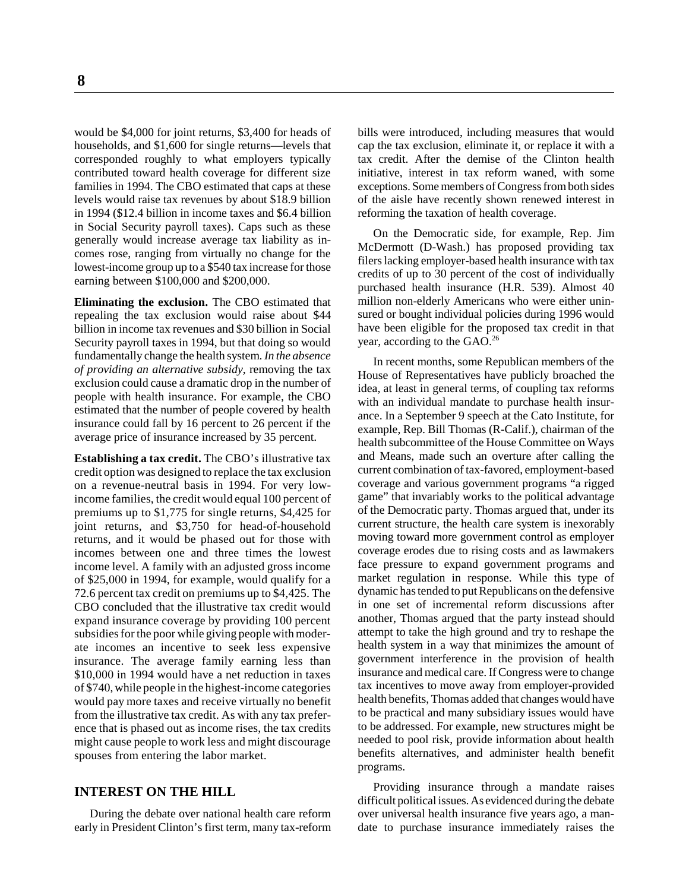would be \$4,000 for joint returns, \$3,400 for heads of households, and \$1,600 for single returns—levels that corresponded roughly to what employers typically contributed toward health coverage for different size families in 1994. The CBO estimated that caps at these levels would raise tax revenues by about \$18.9 billion in 1994 (\$12.4 billion in income taxes and \$6.4 billion in Social Security payroll taxes). Caps such as these generally would increase average tax liability as incomes rose, ranging from virtually no change for the lowest-income group up to a \$540 tax increase for those earning between \$100,000 and \$200,000.

**Eliminating the exclusion.** The CBO estimated that repealing the tax exclusion would raise about \$44 billion in income tax revenues and \$30 billion in Social Security payroll taxes in 1994, but that doing so would fundamentally change the health system. *In the absence of providing an alternative subsidy*, removing the tax exclusion could cause a dramatic drop in the number of people with health insurance. For example, the CBO estimated that the number of people covered by health insurance could fall by 16 percent to 26 percent if the average price of insurance increased by 35 percent.

**Establishing a tax credit.** The CBO's illustrative tax credit option was designed to replace the tax exclusion on a revenue-neutral basis in 1994. For very lowincome families, the credit would equal 100 percent of premiums up to \$1,775 for single returns, \$4,425 for joint returns, and \$3,750 for head-of-household returns, and it would be phased out for those with incomes between one and three times the lowest income level. A family with an adjusted gross income of \$25,000 in 1994, for example, would qualify for a 72.6 percent tax credit on premiums up to \$4,425. The CBO concluded that the illustrative tax credit would expand insurance coverage by providing 100 percent subsidies for the poor while giving people with moderate incomes an incentive to seek less expensive insurance. The average family earning less than \$10,000 in 1994 would have a net reduction in taxes of \$740, while people in the highest-income categories would pay more taxes and receive virtually no benefit from the illustrative tax credit. As with any tax preference that is phased out as income rises, the tax credits might cause people to work less and might discourage spouses from entering the labor market.

#### **INTEREST ON THE HILL**

During the debate over national health care reform early in President Clinton's first term, many tax-reform

bills were introduced, including measures that would cap the tax exclusion, eliminate it, or replace it with a tax credit. After the demise of the Clinton health initiative, interest in tax reform waned, with some exceptions. Some members of Congress from both sides of the aisle have recently shown renewed interest in reforming the taxation of health coverage.

On the Democratic side, for example, Rep. Jim McDermott (D-Wash.) has proposed providing tax filers lacking employer-based health insurance with tax credits of up to 30 percent of the cost of individually purchased health insurance (H.R. 539). Almost 40 million non-elderly Americans who were either uninsured or bought individual policies during 1996 would have been eligible for the proposed tax credit in that year, according to the GAO.<sup>26</sup>

In recent months, some Republican members of the House of Representatives have publicly broached the idea, at least in general terms, of coupling tax reforms with an individual mandate to purchase health insurance. In a September 9 speech at the Cato Institute, for example, Rep. Bill Thomas (R-Calif.), chairman of the health subcommittee of the House Committee on Ways and Means, made such an overture after calling the current combination of tax-favored, employment-based coverage and various government programs "a rigged game" that invariably works to the political advantage of the Democratic party. Thomas argued that, under its current structure, the health care system is inexorably moving toward more government control as employer coverage erodes due to rising costs and as lawmakers face pressure to expand government programs and market regulation in response. While this type of dynamic has tended to put Republicans on the defensive in one set of incremental reform discussions after another, Thomas argued that the party instead should attempt to take the high ground and try to reshape the health system in a way that minimizes the amount of government interference in the provision of health insurance and medical care. If Congress were to change tax incentives to move away from employer-provided health benefits, Thomas added that changes would have to be practical and many subsidiary issues would have to be addressed. For example, new structures might be needed to pool risk, provide information about health benefits alternatives, and administer health benefit programs.

Providing insurance through a mandate raises difficult political issues. As evidenced during the debate over universal health insurance five years ago, a mandate to purchase insurance immediately raises the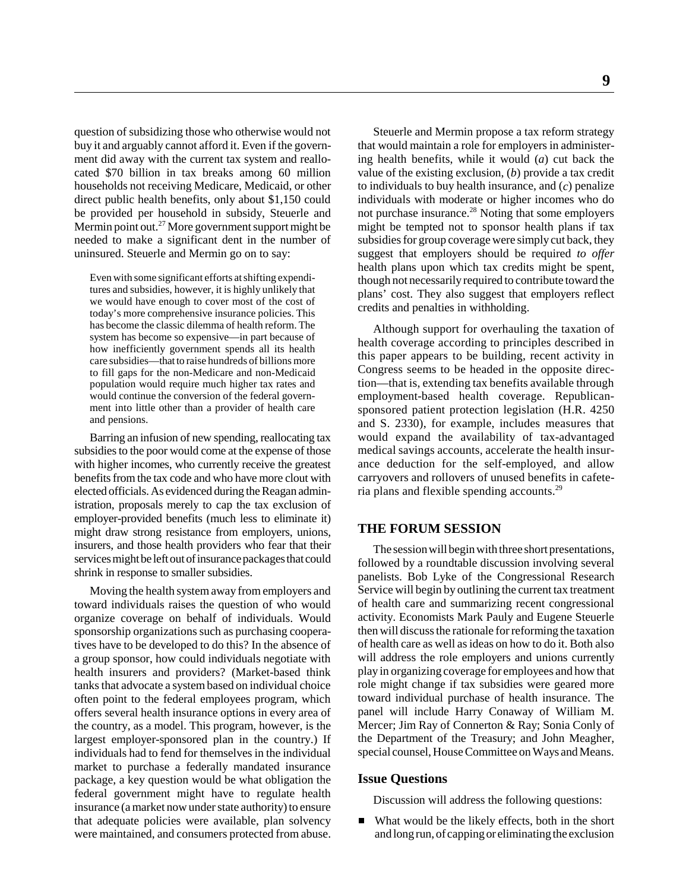question of subsidizing those who otherwise would not buy it and arguably cannot afford it. Even if the government did away with the current tax system and reallocated \$70 billion in tax breaks among 60 million households not receiving Medicare, Medicaid, or other direct public health benefits, only about \$1,150 could be provided per household in subsidy, Steuerle and Mermin point out.<sup>27</sup> More government support might be needed to make a significant dent in the number of uninsured. Steuerle and Mermin go on to say:

Even with some significant efforts at shifting expenditures and subsidies, however, it is highly unlikely that we would have enough to cover most of the cost of today's more comprehensive insurance policies. This has become the classic dilemma of health reform. The system has become so expensive—in part because of how inefficiently government spends all its health care subsidies—that to raise hundreds of billions more to fill gaps for the non-Medicare and non-Medicaid population would require much higher tax rates and would continue the conversion of the federal government into little other than a provider of health care and pensions.

Barring an infusion of new spending, reallocating tax subsidies to the poor would come at the expense of those with higher incomes, who currently receive the greatest benefits from the tax code and who have more clout with elected officials. As evidenced during the Reagan administration, proposals merely to cap the tax exclusion of employer-provided benefits (much less to eliminate it) might draw strong resistance from employers, unions, insurers, and those health providers who fear that their services might be left out of insurance packages that could shrink in response to smaller subsidies.

Moving the health system away from employers and toward individuals raises the question of who would organize coverage on behalf of individuals. Would sponsorship organizations such as purchasing cooperatives have to be developed to do this? In the absence of a group sponsor, how could individuals negotiate with health insurers and providers? (Market-based think tanks that advocate a system based on individual choice often point to the federal employees program, which offers several health insurance options in every area of the country, as a model. This program, however, is the largest employer-sponsored plan in the country.) If individuals had to fend for themselves in the individual market to purchase a federally mandated insurance package, a key question would be what obligation the federal government might have to regulate health insurance (a market now under state authority) to ensure that adequate policies were available, plan solvency were maintained, and consumers protected from abuse.

Steuerle and Mermin propose a tax reform strategy that would maintain a role for employers in administering health benefits, while it would (*a*) cut back the value of the existing exclusion, (*b*) provide a tax credit to individuals to buy health insurance, and (*c*) penalize individuals with moderate or higher incomes who do not purchase insurance.<sup>28</sup> Noting that some employers might be tempted not to sponsor health plans if tax subsidies for group coverage were simply cut back, they suggest that employers should be required *to offer* health plans upon which tax credits might be spent, though not necessarily required to contribute toward the plans' cost. They also suggest that employers reflect credits and penalties in withholding.

Although support for overhauling the taxation of health coverage according to principles described in this paper appears to be building, recent activity in Congress seems to be headed in the opposite direction—that is, extending tax benefits available through employment-based health coverage. Republicansponsored patient protection legislation (H.R. 4250 and S. 2330), for example, includes measures that would expand the availability of tax-advantaged medical savings accounts, accelerate the health insurance deduction for the self-employed, and allow carryovers and rollovers of unused benefits in cafeteria plans and flexible spending accounts.<sup>29</sup>

#### **THE FORUM SESSION**

The session will begin with three short presentations, followed by a roundtable discussion involving several panelists. Bob Lyke of the Congressional Research Service will begin by outlining the current tax treatment of health care and summarizing recent congressional activity. Economists Mark Pauly and Eugene Steuerle then will discuss the rationale for reforming the taxation of health care as well as ideas on how to do it. Both also will address the role employers and unions currently play in organizing coverage for employees and how that role might change if tax subsidies were geared more toward individual purchase of health insurance. The panel will include Harry Conaway of William M. Mercer; Jim Ray of Connerton & Ray; Sonia Conly of the Department of the Treasury; and John Meagher, special counsel, House Committee on Ways and Means.

#### **Issue Questions**

Discussion will address the following questions:

What would be the likely effects, both in the short and long run, of capping or eliminating the exclusion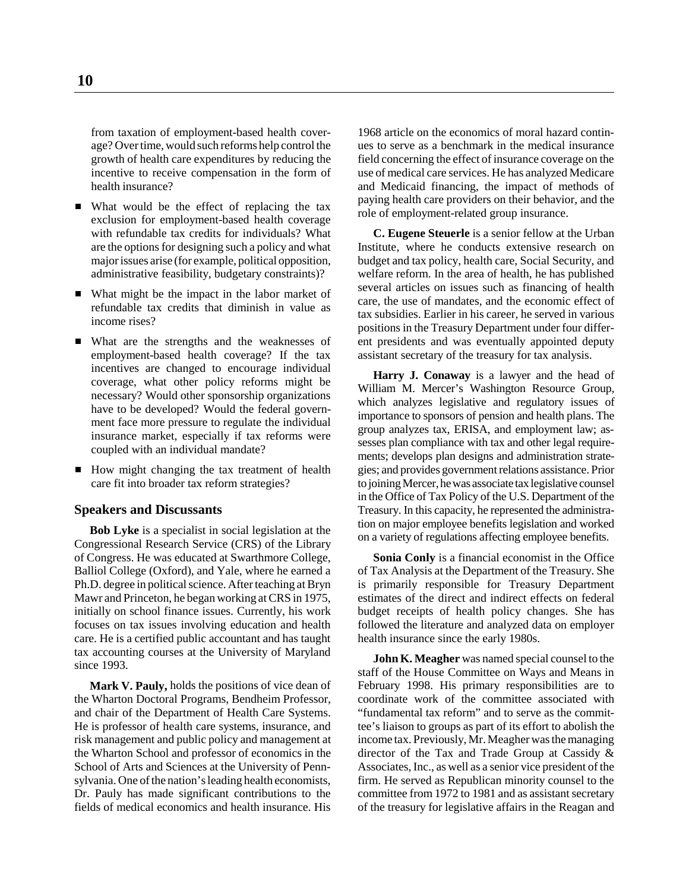from taxation of employment-based health coverage? Over time, would such reforms help control the growth of health care expenditures by reducing the incentive to receive compensation in the form of health insurance?

- What would be the effect of replacing the tax exclusion for employment-based health coverage with refundable tax credits for individuals? What are the options for designing such a policy and what major issues arise (for example, political opposition, administrative feasibility, budgetary constraints)?
- What might be the impact in the labor market of refundable tax credits that diminish in value as income rises?
- What are the strengths and the weaknesses of employment-based health coverage? If the tax incentives are changed to encourage individual coverage, what other policy reforms might be necessary? Would other sponsorship organizations have to be developed? Would the federal government face more pressure to regulate the individual insurance market, especially if tax reforms were coupled with an individual mandate?
- How might changing the tax treatment of health care fit into broader tax reform strategies?

#### **Speakers and Discussants**

**Bob Lyke** is a specialist in social legislation at the Congressional Research Service (CRS) of the Library of Congress. He was educated at Swarthmore College, Balliol College (Oxford), and Yale, where he earned a Ph.D. degree in political science. After teaching at Bryn Mawr and Princeton, he began working at CRS in 1975, initially on school finance issues. Currently, his work focuses on tax issues involving education and health care. He is a certified public accountant and has taught tax accounting courses at the University of Maryland since 1993.

**Mark V. Pauly,** holds the positions of vice dean of the Wharton Doctoral Programs, Bendheim Professor, and chair of the Department of Health Care Systems. He is professor of health care systems, insurance, and risk management and public policy and management at the Wharton School and professor of economics in the School of Arts and Sciences at the University of Pennsylvania. One of the nation's leading health economists, Dr. Pauly has made significant contributions to the fields of medical economics and health insurance. His

1968 article on the economics of moral hazard continues to serve as a benchmark in the medical insurance field concerning the effect of insurance coverage on the use of medical care services. He has analyzed Medicare and Medicaid financing, the impact of methods of paying health care providers on their behavior, and the role of employment-related group insurance.

**C. Eugene Steuerle** is a senior fellow at the Urban Institute, where he conducts extensive research on budget and tax policy, health care, Social Security, and welfare reform. In the area of health, he has published several articles on issues such as financing of health care, the use of mandates, and the economic effect of tax subsidies. Earlier in his career, he served in various positions in the Treasury Department under four different presidents and was eventually appointed deputy assistant secretary of the treasury for tax analysis.

**Harry J. Conaway** is a lawyer and the head of William M. Mercer's Washington Resource Group, which analyzes legislative and regulatory issues of importance to sponsors of pension and health plans. The group analyzes tax, ERISA, and employment law; assesses plan compliance with tax and other legal requirements; develops plan designs and administration strategies; and provides government relations assistance. Prior to joining Mercer, he was associate tax legislative counsel in the Office of Tax Policy of the U.S. Department of the Treasury. In this capacity, he represented the administration on major employee benefits legislation and worked on a variety of regulations affecting employee benefits.

**Sonia Conly** is a financial economist in the Office of Tax Analysis at the Department of the Treasury. She is primarily responsible for Treasury Department estimates of the direct and indirect effects on federal budget receipts of health policy changes. She has followed the literature and analyzed data on employer health insurance since the early 1980s.

**John K. Meagher** was named special counsel to the staff of the House Committee on Ways and Means in February 1998. His primary responsibilities are to coordinate work of the committee associated with "fundamental tax reform" and to serve as the committee's liaison to groups as part of its effort to abolish the income tax. Previously, Mr. Meagher was the managing director of the Tax and Trade Group at Cassidy & Associates, Inc., as well as a senior vice president of the firm. He served as Republican minority counsel to the committee from 1972 to 1981 and as assistant secretary of the treasury for legislative affairs in the Reagan and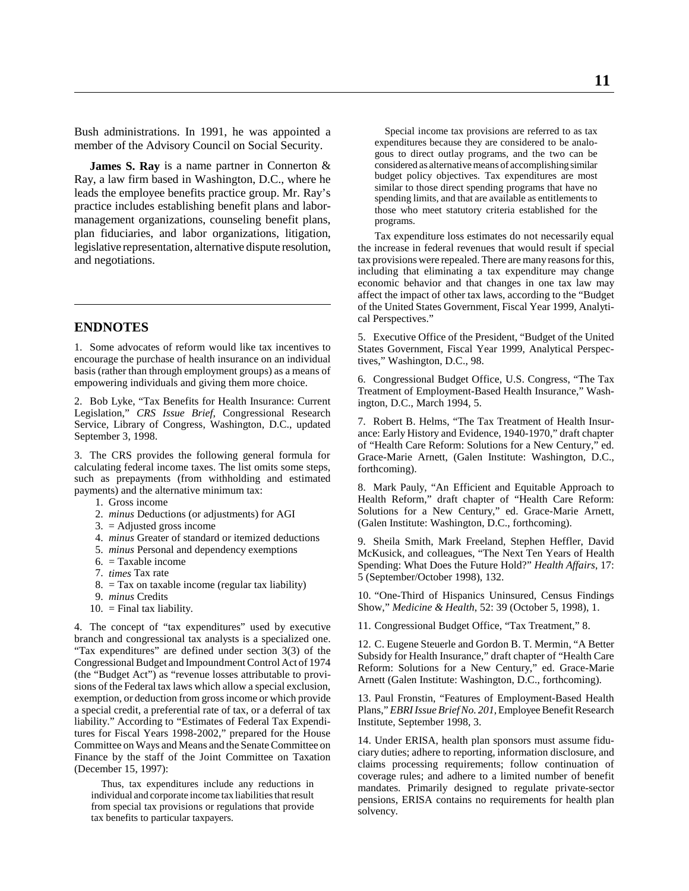Bush administrations. In 1991, he was appointed a member of the Advisory Council on Social Security.

**James S. Ray** is a name partner in Connerton & Ray, a law firm based in Washington, D.C., where he leads the employee benefits practice group. Mr. Ray's practice includes establishing benefit plans and labormanagement organizations, counseling benefit plans, plan fiduciaries, and labor organizations, litigation, legislative representation, alternative dispute resolution, and negotiations.

#### **ENDNOTES**

1. Some advocates of reform would like tax incentives to encourage the purchase of health insurance on an individual basis (rather than through employment groups) as a means of empowering individuals and giving them more choice.

2. Bob Lyke, "Tax Benefits for Health Insurance: Current Legislation," *CRS Issue Brief*, Congressional Research Service, Library of Congress, Washington, D.C., updated September 3, 1998.

3. The CRS provides the following general formula for calculating federal income taxes. The list omits some steps, such as prepayments (from withholding and estimated payments) and the alternative minimum tax:

- 1. Gross income
- 2. *minus* Deductions (or adjustments) for AGI
- 3. = Adjusted gross income
- 4. *minus* Greater of standard or itemized deductions
- 5. *minus* Personal and dependency exemptions
- 6. = Taxable income
- 7. *times* Tax rate
- $8. = Tax on taxable income (regular tax liability)$
- 9. *minus* Credits
- $10.$  = Final tax liability.

4. The concept of "tax expenditures" used by executive branch and congressional tax analysts is a specialized one. "Tax expenditures" are defined under section 3(3) of the Congressional Budget and Impoundment Control Act of 1974 (the "Budget Act") as "revenue losses attributable to provisions of the Federal tax laws which allow a special exclusion, exemption, or deduction from gross income or which provide a special credit, a preferential rate of tax, or a deferral of tax liability." According to "Estimates of Federal Tax Expenditures for Fiscal Years 1998-2002," prepared for the House Committee on Ways and Means and the Senate Committee on Finance by the staff of the Joint Committee on Taxation (December 15, 1997):

Thus, tax expenditures include any reductions in individual and corporate income tax liabilities that result from special tax provisions or regulations that provide tax benefits to particular taxpayers.

Special income tax provisions are referred to as tax expenditures because they are considered to be analogous to direct outlay programs, and the two can be considered as alternative means of accomplishing similar budget policy objectives. Tax expenditures are most similar to those direct spending programs that have no spending limits, and that are available as entitlements to those who meet statutory criteria established for the programs.

Tax expenditure loss estimates do not necessarily equal the increase in federal revenues that would result if special tax provisions were repealed. There are many reasons for this, including that eliminating a tax expenditure may change economic behavior and that changes in one tax law may affect the impact of other tax laws, according to the "Budget of the United States Government, Fiscal Year 1999, Analytical Perspectives."

5. Executive Office of the President, "Budget of the United States Government, Fiscal Year 1999, Analytical Perspectives," Washington, D.C., 98.

6. Congressional Budget Office, U.S. Congress, "The Tax Treatment of Employment-Based Health Insurance," Washington, D.C., March 1994, 5.

7. Robert B. Helms, "The Tax Treatment of Health Insurance: Early History and Evidence, 1940-1970," draft chapter of "Health Care Reform: Solutions for a New Century," ed. Grace-Marie Arnett, (Galen Institute: Washington, D.C., forthcoming).

8. Mark Pauly, "An Efficient and Equitable Approach to Health Reform," draft chapter of "Health Care Reform: Solutions for a New Century," ed. Grace-Marie Arnett, (Galen Institute: Washington, D.C., forthcoming).

9. Sheila Smith, Mark Freeland, Stephen Heffler, David McKusick, and colleagues, "The Next Ten Years of Health Spending: What Does the Future Hold?" *Health Affairs*, 17: 5 (September/October 1998), 132.

10. "One-Third of Hispanics Uninsured, Census Findings Show," *Medicine & Health*, 52: 39 (October 5, 1998), 1.

11. Congressional Budget Office, "Tax Treatment," 8.

12. C. Eugene Steuerle and Gordon B. T. Mermin, "A Better Subsidy for Health Insurance," draft chapter of "Health Care Reform: Solutions for a New Century," ed. Grace-Marie Arnett (Galen Institute: Washington, D.C., forthcoming).

13. Paul Fronstin, "Features of Employment-Based Health Plans," *EBRI Issue Brief No. 201*, Employee Benefit Research Institute, September 1998, 3.

14. Under ERISA, health plan sponsors must assume fiduciary duties; adhere to reporting, information disclosure, and claims processing requirements; follow continuation of coverage rules; and adhere to a limited number of benefit mandates. Primarily designed to regulate private-sector pensions, ERISA contains no requirements for health plan solvency.